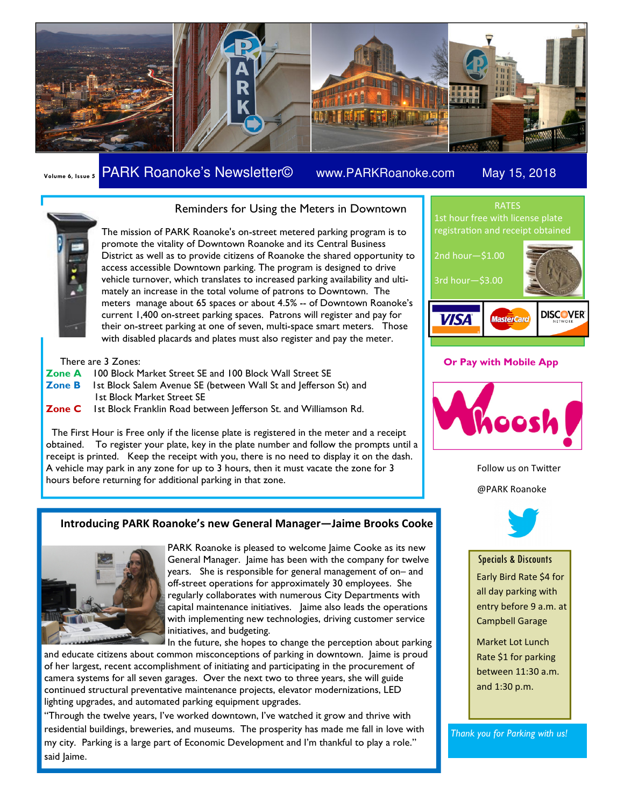

## Volume 6, Issue 5 PARK Roanoke's Newsletter© www.PARKRoanoke.com May 15, 2018



The mission of PARK Roanoke's on-street metered parking program is to promote the vitality of Downtown Roanoke and its Central Business District as well as to provide citizens of Roanoke the shared opportunity to access accessible Downtown parking. The program is designed to drive vehicle turnover, which translates to increased parking availability and ulti-

Reminders for Using the Meters in Downtown

mately an increase in the total volume of patrons to Downtown. The meters manage about 65 spaces or about 4.5% -- of Downtown Roanoke's current 1,400 on-street parking spaces. Patrons will register and pay for their on-street parking at one of seven, multi-space smart meters. Those with disabled placards and plates must also register and pay the meter.

There are 3 Zones:

- Zone A 100 Block Market Street SE and 100 Block Wall Street SE
- Zone B 1st Block Salem Avenue SE (between Wall St and Jefferson St) and 1st Block Market Street SE
- Zone C Ist Block Franklin Road between Jefferson St. and Williamson Rd.

 The First Hour is Free only if the license plate is registered in the meter and a receipt obtained. To register your plate, key in the plate number and follow the prompts until a receipt is printed. Keep the receipt with you, there is no need to display it on the dash. A vehicle may park in any zone for up to 3 hours, then it must vacate the zone for 3 hours before returning for additional parking in that zone.

### Introducing PARK Roanoke's new General Manager—Jaime Brooks Cooke



PARK Roanoke is pleased to welcome Jaime Cooke as its new General Manager. Jaime has been with the company for twelve years. She is responsible for general management of on– and off-street operations for approximately 30 employees. She regularly collaborates with numerous City Departments with capital maintenance initiatives. Jaime also leads the operations with implementing new technologies, driving customer service initiatives, and budgeting.

In the future, she hopes to change the perception about parking

and educate citizens about common misconceptions of parking in downtown. Jaime is proud of her largest, recent accomplishment of initiating and participating in the procurement of camera systems for all seven garages. Over the next two to three years, she will guide continued structural preventative maintenance projects, elevator modernizations, LED lighting upgrades, and automated parking equipment upgrades.

"Through the twelve years, I've worked downtown, I've watched it grow and thrive with residential buildings, breweries, and museums. The prosperity has made me fall in love with my city. Parking is a large part of Economic Development and I'm thankful to play a role." said Jaime.



### Or Pay with Mobile App



Follow us on Twitter @PARK Roanoke



Specials & Discounts Early Bird Rate \$4 for

all day parking with entry before 9 a.m. at Campbell Garage

Market Lot Lunch Rate \$1 for parking between 11:30 a.m. and 1:30 p.m.

Thank you for Parking with us!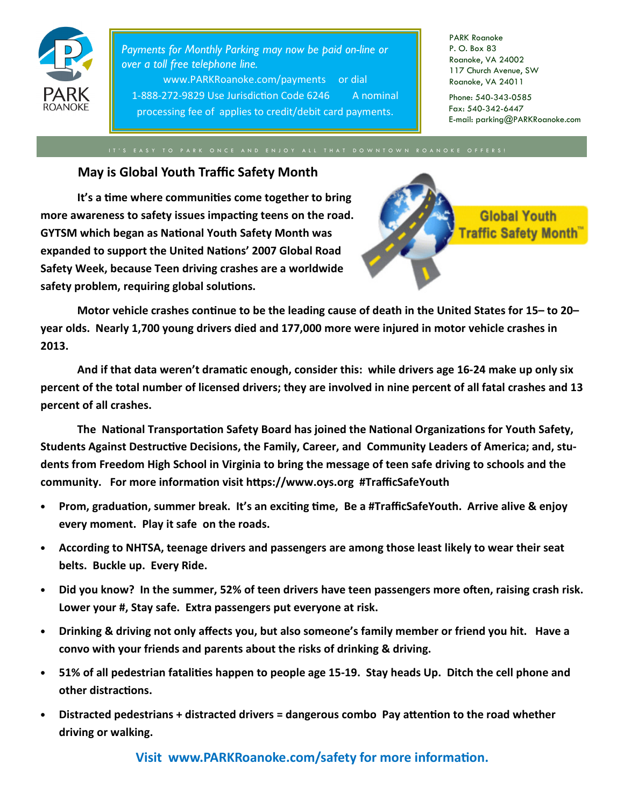

Payments for Monthly Parking may now be paid on-line or over a toll free telephone line. www.PARKRoanoke.com/payments or dial 1-888-272-9829 Use Jurisdiction Code 6246 A nominal processing fee of applies to credit/debit card payments.

PARK Roanoke P. O. Box 83 Roanoke, VA 24002 117 Church Avenue, SW Roanoke, VA 24011

Phone: 540-343-0585 Fax: 540-342-6447 E-mail: parking@PARKRoanoke.com

# May is Global Youth Traffic Safety Month

It's a time where communities come together to bring more awareness to safety issues impacting teens on the road. GYTSM which began as National Youth Safety Month was expanded to support the United Nations' 2007 Global Road Safety Week, because Teen driving crashes are a worldwide safety problem, requiring global solutions.



Motor vehicle crashes continue to be the leading cause of death in the United States for 15– to 20– year olds. Nearly 1,700 young drivers died and 177,000 more were injured in motor vehicle crashes in 2013.

And if that data weren't dramatic enough, consider this: while drivers age 16-24 make up only six percent of the total number of licensed drivers; they are involved in nine percent of all fatal crashes and 13 percent of all crashes.

The National Transportation Safety Board has joined the National Organizations for Youth Safety, Students Against Destructive Decisions, the Family, Career, and Community Leaders of America; and, students from Freedom High School in Virginia to bring the message of teen safe driving to schools and the community. For more information visit https://www.oys.org #TrafficSafeYouth

- Prom, graduation, summer break. It's an exciting time, Be a #TrafficSafeYouth. Arrive alive & enjoy every moment. Play it safe on the roads.
- According to NHTSA, teenage drivers and passengers are among those least likely to wear their seat belts. Buckle up. Every Ride.
- Did you know? In the summer, 52% of teen drivers have teen passengers more often, raising crash risk. Lower your #, Stay safe. Extra passengers put everyone at risk.
- Drinking & driving not only affects you, but also someone's family member or friend you hit. Have a convo with your friends and parents about the risks of drinking & driving.
- 51% of all pedestrian fatalities happen to people age 15-19. Stay heads Up. Ditch the cell phone and other distractions.
- Distracted pedestrians + distracted drivers = dangerous combo Pay attention to the road whether driving or walking.

Visit www.PARKRoanoke.com/safety for more information.